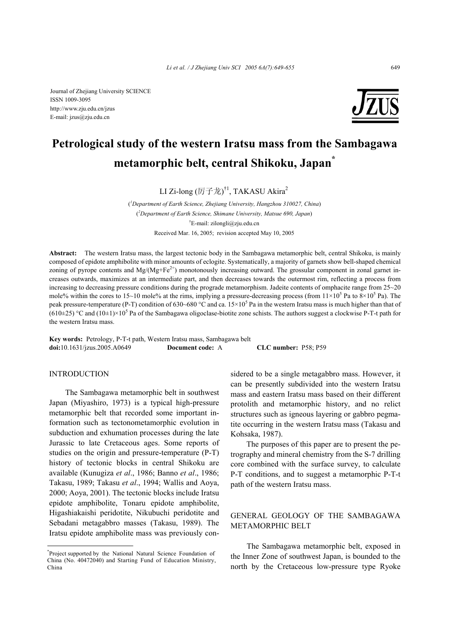

# **Petrological study of the western Iratsu mass from the Sambagawa metamorphic belt, central Shikoku, Japan\***

LI Zi-long (厉子龙) $^{\dagger1}$ , TAKASU Akira $^2$ 

( *1 Department of Earth Science, Zhejiang University, Hangzhou 310027, China*) ( *2 Department of Earth Science, Shimane University, Matsue 690, Japan*) † E-mail: zilongli@zju.edu.cn Received Mar. 16, 2005; revision accepted May 10, 2005

**Abstract:** The western Iratsu mass, the largest tectonic body in the Sambagawa metamorphic belt, central Shikoku, is mainly composed of epidote amphibolite with minor amounts of eclogite. Systematically, a majority of garnets show bell-shaped chemical zoning of pyrope contents and Mg/(Mg+Fe<sup>2+</sup>) monotonously increasing outward. The grossular component in zonal garnet increases outwards, maximizes at an intermediate part, and then decreases towards the outermost rim, reflecting a process from increasing to decreasing pressure conditions during the prograde metamorphism. Jadeite contents of omphacite range from 25~20 mole% within the cores to 15~10 mole% at the rims, implying a pressure-decreasing process (from  $11\times10^5$  Pa to  $8\times10^5$  Pa). The peak pressure-temperature (P-T) condition of 630~680 °C and ca.  $15 \times 10^5$  Pa in the western Iratsu mass is much higher than that of  $(610\pm25)$  °C and  $(10\pm1)\times10^5$  Pa of the Sambagawa oligoclase-biotite zone schists. The authors suggest a clockwise P-T-t path for the western Iratsu mass.

**Key words:** Petrology, P-T-t path, Western Iratsu mass, Sambagawa belt **doi:**10.1631/jzus.2005.A0649 **Document code:** A **CLC number:** P58; P59

## INTRODUCTION

The Sambagawa metamorphic belt in southwest Japan (Miyashiro, 1973) is a typical high-pressure metamorphic belt that recorded some important information such as tectonometamorphic evolution in subduction and exhumation processes during the late Jurassic to late Cretaceous ages. Some reports of studies on the origin and pressure-temperature (P-T) history of tectonic blocks in central Shikoku are available (Kunugiza *et al*., 1986; Banno *et al*., 1986; Takasu, 1989; Takasu *et al*., 1994; Wallis and Aoya, 2000; Aoya, 2001). The tectonic blocks include Iratsu epidote amphibolite, Tonaru epidote amphibolite, Higashiakaishi peridotite, Nikubuchi peridotite and Sebadani metagabbro masses (Takasu, 1989). The Iratsu epidote amphibolite mass was previously considered to be a single metagabbro mass. However, it can be presently subdivided into the western Iratsu mass and eastern Iratsu mass based on their different protolith and metamorphic history, and no relict structures such as igneous layering or gabbro pegmatite occurring in the western Iratsu mass (Takasu and Kohsaka, 1987).

The purposes of this paper are to present the petrography and mineral chemistry from the S-7 drilling core combined with the surface survey, to calculate P-T conditions, and to suggest a metamorphic P-T-t path of the western Iratsu mass.

# GENERAL GEOLOGY OF THE SAMBAGAWA METAMORPHIC BELT

The Sambagawa metamorphic belt, exposed in the Inner Zone of southwest Japan, is bounded to the north by the Cretaceous low-pressure type Ryoke

<sup>\*</sup> Project supported by the National Natural Science Foundation of China (No. 40472040) and Starting Fund of Education Ministry, China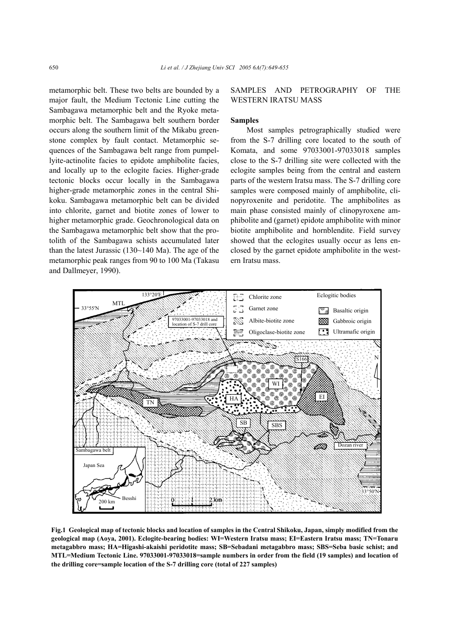metamorphic belt. These two belts are bounded by a major fault, the Medium Tectonic Line cutting the Sambagawa metamorphic belt and the Ryoke metamorphic belt. The Sambagawa belt southern border occurs along the southern limit of the Mikabu greenstone complex by fault contact. Metamorphic sequences of the Sambagawa belt range from pumpellyite-actinolite facies to epidote amphibolite facies, and locally up to the eclogite facies. Higher-grade tectonic blocks occur locally in the Sambagawa higher-grade metamorphic zones in the central Shikoku. Sambagawa metamorphic belt can be divided into chlorite, garnet and biotite zones of lower to higher metamorphic grade. Geochronological data on the Sambagawa metamorphic belt show that the protolith of the Sambagawa schists accumulated later than the latest Jurassic (130~140 Ma). The age of the metamorphic peak ranges from 90 to 100 Ma (Takasu and Dallmeyer, 1990).

## SAMPLES AND PETROGRAPHY OF THE WESTERN IRATSU MASS

#### **Samples**

Most samples petrographically studied were from the S-7 drilling core located to the south of Komata, and some 97033001-97033018 samples close to the S-7 drilling site were collected with the eclogite samples being from the central and eastern parts of the western Iratsu mass. The S-7 drilling core samples were composed mainly of amphibolite, clinopyroxenite and peridotite. The amphibolites as main phase consisted mainly of clinopyroxene amphibolite and (garnet) epidote amphibolite with minor biotite amphibolite and hornblendite. Field survey showed that the eclogites usually occur as lens enclosed by the garnet epidote amphibolite in the western Iratsu mass.



**Fig.1 Geological map of tectonic blocks and location of samples in the Central Shikoku, Japan, simply modified from the geological map (Aoya, 2001). Eclogite-bearing bodies: WI=Western Iratsu mass; EI=Eastern Iratsu mass; TN=Tonaru metagabbro mass; HA=Higashi-akaishi peridotite mass; SB=Sebadani metagabbro mass; SBS=Seba basic schist; and MTL=Medium Tectonic Line. 97033001-97033018=sample numbers in order from the field (19 samples) and location of the drilling core=sample location of the S-7 drilling core (total of 227 samples)**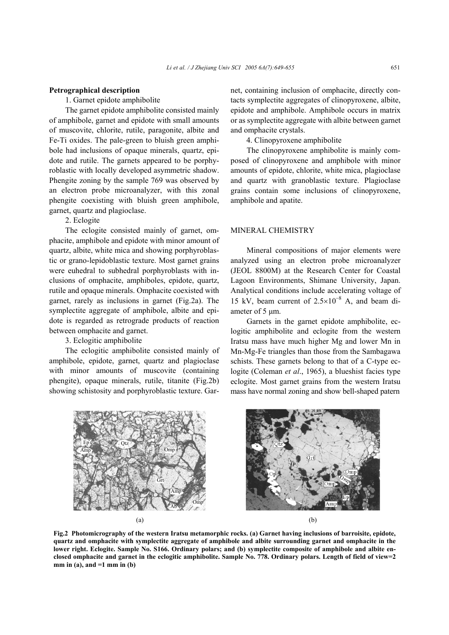#### **Petrographical description**

1. Garnet epidote amphibolite

The garnet epidote amphibolite consisted mainly of amphibole, garnet and epidote with small amounts of muscovite, chlorite, rutile, paragonite, albite and Fe-Ti oxides. The pale-green to bluish green amphibole had inclusions of opaque minerals, quartz, epidote and rutile. The garnets appeared to be porphyroblastic with locally developed asymmetric shadow. Phengite zoning by the sample 769 was observed by an electron probe microanalyzer, with this zonal phengite coexisting with bluish green amphibole, garnet, quartz and plagioclase.

# 2. Eclogite

The eclogite consisted mainly of garnet, omphacite, amphibole and epidote with minor amount of quartz, albite, white mica and showing porphyroblastic or grano-lepidoblastic texture. Most garnet grains were euhedral to subhedral porphyroblasts with inclusions of omphacite, amphiboles, epidote, quartz, rutile and opaque minerals. Omphacite coexisted with garnet, rarely as inclusions in garnet (Fig.2a). The symplectite aggregate of amphibole, albite and epidote is regarded as retrograde products of reaction between omphacite and garnet.

3. Eclogitic amphibolite

The eclogitic amphibolite consisted mainly of amphibole, epidote, garnet, quartz and plagioclase with minor amounts of muscovite (containing phengite), opaque minerals, rutile, titanite (Fig.2b) showing schistosity and porphyroblastic texture. Garnet, containing inclusion of omphacite, directly contacts symplectite aggregates of clinopyroxene, albite, epidote and amphibole. Amphibole occurs in matrix or as symplectite aggregate with albite between garnet and omphacite crystals.

4. Clinopyroxene amphibolite

The clinopyroxene amphibolite is mainly composed of clinopyroxene and amphibole with minor amounts of epidote, chlorite, white mica, plagioclase and quartz with granoblastic texture. Plagioclase grains contain some inclusions of clinopyroxene, amphibole and apatite.

### MINERAL CHEMISTRY

Mineral compositions of major elements were analyzed using an electron probe microanalyzer (JEOL 8800M) at the Research Center for Coastal Lagoon Environments, Shimane University, Japan. Analytical conditions include accelerating voltage of 15 kV, beam current of  $2.5 \times 10^{-8}$  A, and beam diameter of 5  $\mu$ m.

Garnets in the garnet epidote amphibolite, eclogitic amphibolite and eclogite from the western Iratsu mass have much higher Mg and lower Mn in Mn-Mg-Fe triangles than those from the Sambagawa schists. These garnets belong to that of a C-type eclogite (Coleman *et al*., 1965), a blueshist facies type eclogite. Most garnet grains from the western Iratsu mass have normal zoning and show bell-shaped patern



**Fig.2 Photomicrography of the western Iratsu metamorphic rocks. (a) Garnet having inclusions of barroisite, epidote, quartz and omphacite with symplectite aggregate of amphibole and albite surrounding garnet and omphacite in the** lower right. Eclogite. Sample No. S166. Ordinary polars; and (b) symplectite composite of amphibole and albite en**closed omphacite and garnet in the eclogitic amphibolite. Sample No. 778. Ordinary polars. Length of field of view=2 mm in (a), and =1 mm in (b)**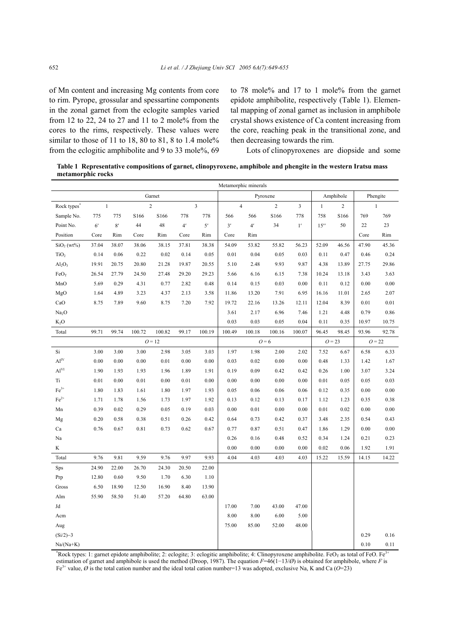of Mn content and increasing Mg contents from core to rim. Pyrope, grossular and spessartine components in the zonal garnet from the eclogite samples varied from 12 to 22, 24 to 27 and 11 to 2 mole% from the cores to the rims, respectively. These values were similar to those of 11 to 18, 80 to 81, 8 to 1.4 mole% from the eclogitic amphibolite and 9 to 33 mole%, 69 to 78 mole% and 17 to 1 mole% from the garnet epidote amphibolite, respectively (Table 1). Elemental mapping of zonal garnet as inclusion in amphibole crystal shows existence of Ca content increasing from the core, reaching peak in the transitional zone, and then decreasing towards the rim.

Lots of clinopyroxenes are diopside and some

**Table 1 Representative compositions of garnet, clinopyroxene, amphibole and phengite in the western Iratsu mass metamorphic rocks** 

|                                     |                | Metamorphic minerals |        |                |       |                         |          |                |        |                                           |           |                                |          |              |  |
|-------------------------------------|----------------|----------------------|--------|----------------|-------|-------------------------|----------|----------------|--------|-------------------------------------------|-----------|--------------------------------|----------|--------------|--|
|                                     |                | Garnet               |        |                |       |                         | Pyroxene |                |        |                                           | Amphibole |                                | Phengite |              |  |
| Rock types <sup>*</sup>             |                | $\mathbf{1}$         |        | $\overline{c}$ |       | $\overline{\mathbf{3}}$ |          | $\overline{4}$ |        | $\overline{c}$<br>$\overline{\mathbf{3}}$ |           | $\overline{2}$<br>$\mathbf{1}$ |          | $\mathbf{1}$ |  |
| Sample No.                          | 775            | 775                  | S166   | S166           | 778   | 778                     | 566      | 566            | S166   | 778                                       | 758       | S166                           | 769      | 769          |  |
| Point No.                           | 6 <sup>'</sup> | $8^\prime$           | 44     | 48             | 4'    | 5'                      | 3'       | 4 <sup>'</sup> | 34     | $1^{\prime}$                              | 15''      | 50                             | 22       | 23           |  |
| Position                            | Core           | Rim                  | Core   | Rim            | Core  | Rim                     | Core     | Rim            |        |                                           |           |                                | Core     | Rim          |  |
| SiO <sub>2</sub> (wt <sup>0</sup> ) | 37.04          | 38.07                | 38.06  | 38.15          | 37.81 | 38.38                   | 54.09    | 53.82          | 55.82  | 56.23                                     | 52.09     | 46.56                          | 47.90    | 45.36        |  |
| TiO <sub>2</sub>                    | 0.14           | 0.06                 | 0.22   | 0.02           | 0.14  | 0.05                    | 0.01     | 0.04           | 0.05   | 0.03                                      | 0.11      | 0.47                           | 0.46     | 0.24         |  |
| Al <sub>2</sub> O <sub>3</sub>      | 19.91          | 20.75                | 20.80  | 21.28          | 19.87 | 20.55                   | 5.10     | 2.48           | 9.93   | 9.87                                      | 4.38      | 13.89                          | 27.75    | 29.86        |  |
| $FeO_T$                             | 26.54          | 27.79                | 24.50  | 27.48          | 29.20 | 29.23                   | 5.66     | 6.16           | 6.15   | 7.38                                      | 10.24     | 13.18                          | 3.43     | 3.63         |  |
| MnO                                 | 5.69           | 0.29                 | 4.31   | 0.77           | 2.82  | 0.48                    | 0.14     | 0.15           | 0.03   | 0.00                                      | 0.11      | 0.12                           | 0.00     | 0.00         |  |
| MgO                                 | 1.64           | 4.89                 | 3.23   | 4.37           | 2.13  | 3.58                    | 11.86    | 13.20          | 7.91   | 6.95                                      | 16.16     | 11.01                          | 2.65     | 2.07         |  |
| CaO                                 | 8.75           | 7.89                 | 9.60   | 8.75           | 7.20  | 7.92                    | 19.72    | 22.16          | 13.26  | 12.11                                     | 12.04     | 8.39                           | 0.01     | 0.01         |  |
| Na <sub>2</sub> O                   |                |                      |        |                |       |                         | 3.61     | 2.17           | 6.96   | 7.46                                      | 1.21      | 4.48                           | 0.79     | 0.86         |  |
| $K_2O$                              |                |                      |        |                |       |                         | 0.03     | 0.03           | 0.05   | 0.04                                      | 0.11      | 0.35                           | 10.97    | 10.75        |  |
| Total                               | 99.71          | 99.74                | 100.72 | 100.82         | 99.17 | 100.19                  | 100.49   | 100.18         | 100.16 | 100.07                                    | 96.45     | 98.45                          | 93.96    | 92.78        |  |
|                                     |                | $Q = 12$             |        |                |       |                         | $Q=6$    |                |        | $Q = 23$                                  |           | $O = 22$                       |          |              |  |
| Si                                  | 3.00           | 3.00                 | 3.00   | 2.98           | 3.05  | 3.03                    | 1.97     | 1.98           | 2.00   | 2.02                                      | 7.52      | 6.67                           | 6.58     | 6.33         |  |
| Al <sup>IV</sup>                    | 0.00           | 0.00                 | 0.00   | 0.01           | 0.00  | 0.00                    | 0.03     | 0.02           | 0.00   | 0.00                                      | 0.48      | 1.33                           | 1.42     | 1.67         |  |
| Al <sup>VI</sup>                    | 1.90           | 1.93                 | 1.93   | 1.96           | 1.89  | 1.91                    | 0.19     | 0.09           | 0.42   | 0.42                                      | 0.26      | 1.00                           | 3.07     | 3.24         |  |
| Ti                                  | 0.01           | 0.00                 | 0.01   | 0.00           | 0.01  | 0.00                    | 0.00     | 0.00           | 0.00   | 0.00                                      | 0.01      | 0.05                           | 0.05     | 0.03         |  |
| $Fe3+$                              | 1.80           | 1.83                 | 1.61   | 1.80           | 1.97  | 1.93                    | 0.05     | 0.06           | 0.06   | 0.06                                      | 0.12      | 0.35                           | 0.00     | 0.00         |  |
| $\mathrm{Fe}^{2+}$                  | 1.71           | 1.78                 | 1.56   | 1.73           | 1.97  | 1.92                    | 0.13     | 0.12           | 0.13   | 0.17                                      | 1.12      | 1.23                           | 0.35     | 0.38         |  |
| Mn                                  | 0.39           | 0.02                 | 0.29   | 0.05           | 0.19  | 0.03                    | 0.00     | 0.01           | 0.00   | 0.00                                      | 0.01      | 0.02                           | 0.00     | 0.00         |  |
| Mg                                  | 0.20           | 0.58                 | 0.38   | 0.51           | 0.26  | 0.42                    | 0.64     | 0.73           | 0.42   | 0.37                                      | 3.48      | 2.35                           | 0.54     | 0.43         |  |
| Ca                                  | 0.76           | 0.67                 | 0.81   | 0.73           | 0.62  | 0.67                    | 0.77     | 0.87           | 0.51   | 0.47                                      | 1.86      | 1.29                           | 0.00     | 0.00         |  |
| Na                                  |                |                      |        |                |       |                         | 0.26     | 0.16           | 0.48   | 0.52                                      | 0.34      | 1.24                           | 0.21     | 0.23         |  |
| K                                   |                |                      |        |                |       |                         | 0.00     | 0.00           | 0.00   | 0.00                                      | 0.02      | 0.06                           | 1.92     | 1.91         |  |
| Total                               | 9.76           | 9.81                 | 9.59   | 9.76           | 9.97  | 9.93                    | 4.04     | 4.03           | 4.03   | 4.03                                      | 15.22     | 15.59                          | 14.15    | 14.22        |  |
| <b>Sps</b>                          | 24.90          | 22.00                | 26.70  | 24.30          | 20.50 | 22.00                   |          |                |        |                                           |           |                                |          |              |  |
| Prp                                 | 12.80          | 0.60                 | 9.50   | 1.70           | 6.30  | 1.10                    |          |                |        |                                           |           |                                |          |              |  |
| Gross                               | 6.50           | 18.90                | 12.50  | 16.90          | 8.40  | 13.90                   |          |                |        |                                           |           |                                |          |              |  |
| Alm                                 | 55.90          | 58.50                | 51.40  | 57.20          | 64.80 | 63.00                   |          |                |        |                                           |           |                                |          |              |  |
| Jd                                  |                |                      |        |                |       |                         | 17.00    | 7.00           | 43.00  | 47.00                                     |           |                                |          |              |  |
| Acm                                 |                |                      |        |                |       |                         | 8.00     | 8.00           | 6.00   | 5.00                                      |           |                                |          |              |  |
| Aug                                 |                |                      |        |                |       |                         | 75.00    | 85.00          | 52.00  | 48.00                                     |           |                                |          |              |  |
| $(Si/2)-3$                          |                |                      |        |                |       |                         |          |                |        |                                           |           |                                | 0.29     | 0.16         |  |
| $Na/(Na+K)$                         |                |                      |        |                |       |                         |          |                |        |                                           |           |                                | 0.10     | 0.11         |  |

\*Rock types: 1: garnet epidote amphibolite; 2: eclogite; 3: eclogitic amphibolite; 4: Clinopyroxene amphibolite. FeO<sub>T</sub> as total of FeO. Fe<sup>3+</sup> estimation of garnet and amphibole is used the method (Droop, 1987). The equation *F*=46(1−13/*Ø*) is obtained for amphibole, where *F* is Fe<sup>3+</sup> value,  $\varnothing$  is the total cation number and the ideal total cation number=13 was adopted, exclusive Na, K and Ca ( $\varnothing$ =23)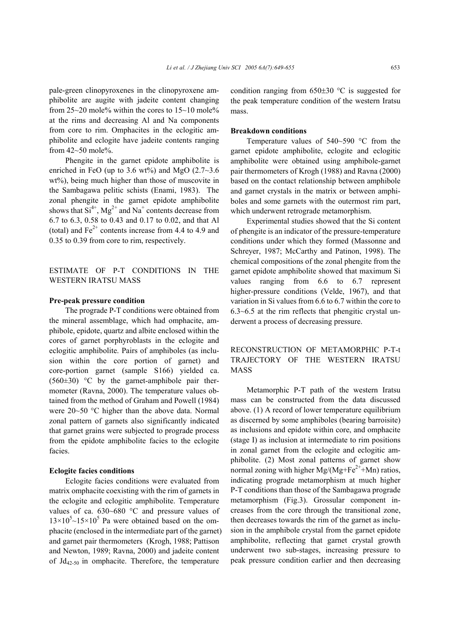pale-green clinopyroxenes in the clinopyroxene amphibolite are augite with jadeite content changing from 25~20 mole% within the cores to 15~10 mole% at the rims and decreasing Al and Na components from core to rim. Omphacites in the eclogitic amphibolite and eclogite have jadeite contents ranging from  $42 \sim 50$  mole%.

Phengite in the garnet epidote amphibolite is enriched in FeO (up to 3.6 wt%) and MgO  $(2.7~3.6)$ wt%), being much higher than those of muscovite in the Sambagawa pelitic schists (Enami, 1983). The zonal phengite in the garnet epidote amphibolite shows that  $Si^{4+}$ ,  $Mg^{2+}$  and Na<sup>+</sup> contents decrease from 6.7 to 6.3, 0.58 to 0.43 and 0.17 to 0.02, and that Al (total) and  $Fe^{2+}$  contents increase from 4.4 to 4.9 and 0.35 to 0.39 from core to rim, respectively.

ESTIMATE OF P-T CONDITIONS IN THE WESTERN IRATSU MASS

## **Pre-peak pressure condition**

The prograde P-T conditions were obtained from the mineral assemblage, which had omphacite, amphibole, epidote, quartz and albite enclosed within the cores of garnet porphyroblasts in the eclogite and eclogitic amphibolite. Pairs of amphiboles (as inclusion within the core portion of garnet) and core-portion garnet (sample S166) yielded ca.  $(560\pm30)$  °C by the garnet-amphibole pair thermometer (Ravna, 2000). The temperature values obtained from the method of Graham and Powell (1984) were 20~50 °C higher than the above data. Normal zonal pattern of garnets also significantly indicated that garnet grains were subjected to prograde process from the epidote amphibolite facies to the eclogite facies.

#### **Eclogite facies conditions**

Eclogite facies conditions were evaluated from matrix omphacite coexisting with the rim of garnets in the eclogite and eclogitic amphibolite. Temperature values of ca. 630~680 °C and pressure values of  $13\times10^{5}$   $\sim$  15 $\times10^{5}$  Pa were obtained based on the omphacite (enclosed in the intermediate part of the garnet) and garnet pair thermometers (Krogh, 1988; Pattison and Newton, 1989; Ravna, 2000) and jadeite content of  $Jd_{42-50}$  in omphacite. Therefore, the temperature

condition ranging from  $650\pm30$  °C is suggested for the peak temperature condition of the western Iratsu mass.

#### **Breakdown conditions**

Temperature values of 540~590 °C from the garnet epidote amphibolite, eclogite and eclogitic amphibolite were obtained using amphibole-garnet pair thermometers of Krogh (1988) and Ravna (2000) based on the contact relationship between amphibole and garnet crystals in the matrix or between amphiboles and some garnets with the outermost rim part, which underwent retrograde metamorphism.

Experimental studies showed that the Si content of phengite is an indicator of the pressure-temperature conditions under which they formed (Massonne and Schreyer, 1987; McCarthy and Patinon, 1998). The chemical compositions of the zonal phengite from the garnet epidote amphibolite showed that maximum Si values ranging from 6.6 to 6.7 represent higher-pressure conditions (Velde, 1967), and that variation in Si values from 6.6 to 6.7 within the core to 6.3~6.5 at the rim reflects that phengitic crystal underwent a process of decreasing pressure.

# RECONSTRUCTION OF METAMORPHIC P-T-t TRAJECTORY OF THE WESTERN IRATSU MASS

Metamorphic P-T path of the western Iratsu mass can be constructed from the data discussed above. (1) A record of lower temperature equilibrium as discerned by some amphiboles (bearing barroisite) as inclusions and epidote within core, and omphacite (stage I) as inclusion at intermediate to rim positions in zonal garnet from the eclogite and eclogitic amphibolite. (2) Most zonal patterns of garnet show normal zoning with higher  $Mg/(Mg + Fe^{2+}+Mn)$  ratios, indicating prograde metamorphism at much higher P-T conditions than those of the Sambagawa prograde metamorphism (Fig.3). Grossular component increases from the core through the transitional zone, then decreases towards the rim of the garnet as inclusion in the amphibole crystal from the garnet epidote amphibolite, reflecting that garnet crystal growth underwent two sub-stages, increasing pressure to peak pressure condition earlier and then decreasing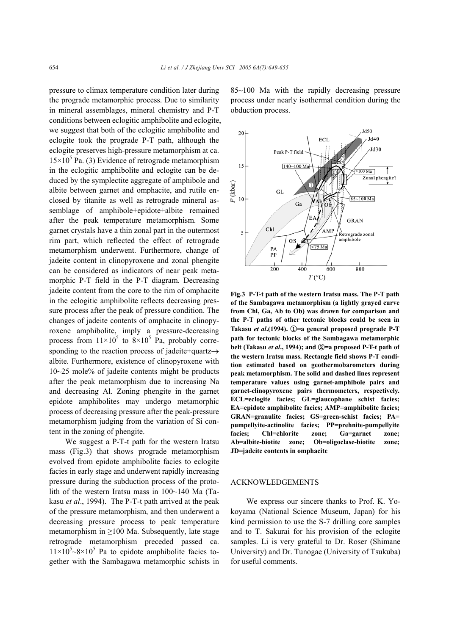pressure to climax temperature condition later during the prograde metamorphic process. Due to similarity in mineral assemblages, mineral chemistry and P-T conditions between eclogitic amphibolite and eclogite, we suggest that both of the eclogitic amphibolite and eclogite took the prograde P-T path, although the eclogite preserves high-pressure metamorphism at ca.  $15 \times 10^5$  Pa. (3) Evidence of retrograde metamorphism in the eclogitic amphibolite and eclogite can be deduced by the symplectite aggregate of amphibole and albite between garnet and omphacite, and rutile enclosed by titanite as well as retrograde mineral assemblage of amphibole+epidote+albite remained after the peak temperature metamorphism. Some garnet crystals have a thin zonal part in the outermost rim part, which reflected the effect of retrograde metamorphism underwent. Furthermore, change of jadeite content in clinopyroxene and zonal phengite can be considered as indicators of near peak metamorphic P-T field in the P-T diagram. Decreasing jadeite content from the core to the rim of omphacite in the eclogitic amphibolite reflects decreasing pressure process after the peak of pressure condition. The changes of jadeite contents of omphacite in clinopyroxene amphibolite, imply a pressure-decreasing process from  $11 \times 10^5$  to  $8 \times 10^5$  Pa, probably corresponding to the reaction process of jadeite+quartz→ albite. Furthermore, existence of clinopyroxene with 10~25 mole% of jadeite contents might be products after the peak metamorphism due to increasing Na and decreasing Al. Zoning phengite in the garnet epidote amphibolites may undergo metamorphic process of decreasing pressure after the peak-pressure metamorphism judging from the variation of Si content in the zoning of phengite.

We suggest a P-T-t path for the western Iratsu mass (Fig.3) that shows prograde metamorphism evolved from epidote amphibolite facies to eclogite facies in early stage and underwent rapidly increasing pressure during the subduction process of the protolith of the western Iratsu mass in 100~140 Ma (Takasu *et al*., 1994). The P-T-t path arrived at the peak of the pressure metamorphism, and then underwent a decreasing pressure process to peak temperature metamorphism in  $\geq$ 100 Ma. Subsequently, late stage retrograde metamorphism preceded passed ca.  $11 \times 10^5$  -8×10<sup>5</sup> Pa to epidote amphibolite facies together with the Sambagawa metamorphic schists in 85~100 Ma with the rapidly decreasing pressure process under nearly isothermal condition during the obduction process.



**Fig.3 P-T-t path of the western Iratsu mass. The P-T path of the Sambagawa metamorphism (a lightly grayed curve from Chl, Ga, Ab to Ob) was drawn for comparison and the P-T paths of other tectonic blocks could be seen in Takasu** *et al***.(1994).** ①**=a general proposed prograde P-T path for tectonic blocks of the Sambagawa metamorphic belt (Takasu** *et al***., 1994); and** ②**=a proposed P-T-t path of the western Iratsu mass. Rectangle field shows P-T condition estimated based on geothermobarometers during peak metamorphism. The solid and dashed lines represent temperature values using garnet-amphibole pairs and garnet-clinopyroxene pairs thermometers, respectively. ECL=eclogite facies; GL=glaucophane schist facies; EA=epidote amphibolite facies; AMP=amphibolite facies; GRAN=granulite facies; GS=green-schist facies; PA= pumpellyite-actinolite facies; PP=prehnite-pumpellyite facies; Chl=chlorite zone; Ga=garnet zone; Ab=albite-biotite zone; Ob=oligoclase-biotite zone; JD=jadeite contents in omphacite** 

#### ACKNOWLEDGEMENTS

We express our sincere thanks to Prof. K. Yokoyama (National Science Museum, Japan) for his kind permission to use the S-7 drilling core samples and to T. Sakurai for his provision of the eclogite samples. Li is very grateful to Dr. Roser (Shimane University) and Dr. Tunogae (University of Tsukuba) for useful comments.